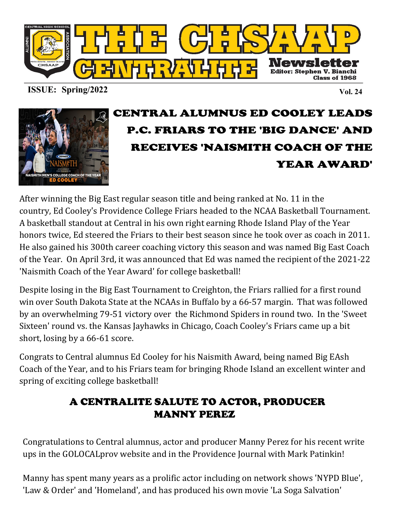

**ISSUE: Spring/2022 Vol. 24**



# CENTRAL ALUMNUS ED COOLEY LEADS P.C. FRIARS TO THE 'BIG DANCE' AND RECEIVES 'NAISMITH COACH OF THE YEAR AWARD'

After winning the Big East regular season title and being ranked at No. 11 in the country, Ed Cooley's Providence College Friars headed to the NCAA Basketball Tournament. A basketball standout at Central in his own right earning Rhode Island Play of the Year honors twice, Ed steered the Friars to their best season since he took over as coach in 2011. He also gained his 300th career coaching victory this season and was named Big East Coach of the Year. On April 3rd, it was announced that Ed was named the recipient of the 2021-22 'Naismith Coach of the Year Award' for college basketball!

Despite losing in the Big East Tournament to Creighton, the Friars rallied for a first round win over South Dakota State at the NCAAs in Buffalo by a 66-57 margin. That was followed by an overwhelming 79-51 victory over the Richmond Spiders in round two. In the 'Sweet Sixteen' round vs. the Kansas Jayhawks in Chicago, Coach Cooley's Friars came up a bit short, losing by a 66-61 score.

Congrats to Central alumnus Ed Cooley for his Naismith Award, being named Big EAsh Coach of the Year, and to his Friars team for bringing Rhode Island an excellent winter and spring of exciting college basketball!

## A CENTRALITE SALUTE TO ACTOR, PRODUCER MANNY PEREZ

Congratulations to Central alumnus, actor and producer Manny Perez for his recent write ups in the GOLOCALprov website and in the Providence Journal with Mark Patinkin!

Manny has spent many years as a prolific actor including on network shows 'NYPD Blue', 'Law & Order' and 'Homeland', and has produced his own movie 'La Soga Salvation'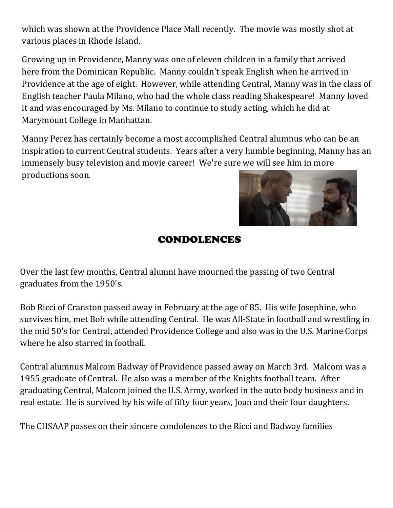which was shown at the Providence Place Mall recently. The movie was mostly shot at various places in Rhode Island.

Growing up in Providence, Manny was one of eleven children in a family that arrived here from the Dominican Republic. Manny couldn't speak English when he arrived in Providence at the age of eight. However, while attending Central, Manny was in the class of English teacher Paula Milano, who had the whole class reading Shakespeare! Manny loved it and was encouraged by Ms. Milano to continue to study acting, which he did at Marymount College in Manhattan.

Manny Perez has certainly become a most accomplished Central alumnus who can be an inspiration to current Central students. Years after a very humble beginning, Manny has an immensely busy television and movie career! We're sure we will see him in more productions soon.



#### CONDOLENCES

Over the last few months, Central alumni have mourned the passing of two Central graduates from the 1950's.

Bob Ricci of Cranston passed away in February at the age of 85. His wife Josephine, who survives him, met Bob while attending Central. He was All-State in football and wrestling in the mid 50's for Central, attended Providence College and also was in the U.S. Marine Corps where he also starred in football.

Central alumnus Malcom Badway of Providence passed away on March 3rd. Malcom was a 1955 graduate of Central. He also was a member of the Knights football team. After graduating Central, Malcom joined the U.S. Army, worked in the auto body business and in real estate. He is survived by his wife of fifty four years, Joan and their four daughters.

The CHSAAP passes on their sincere condolences to the Ricci and Badway families